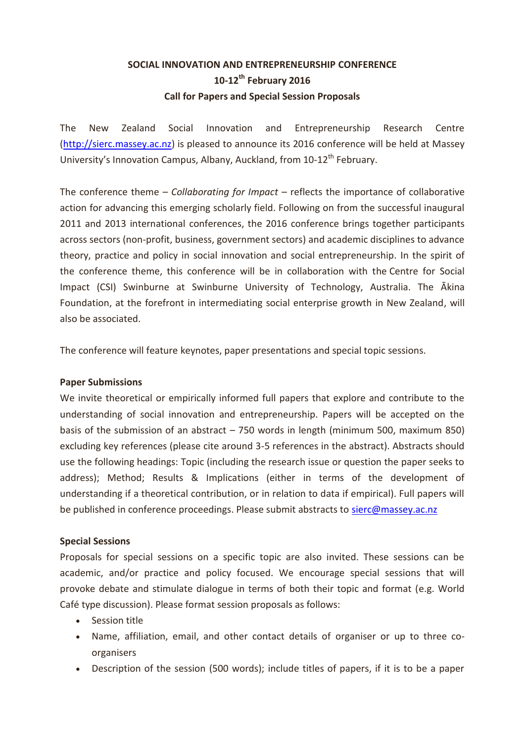## **SOCIAL INNOVATION AND ENTREPRENEURSHIP CONFERENCE 10-12th February 2016 Call for Papers and Special Session Proposals**

The New Zealand Social Innovation and Entrepreneurship Research Centre [\(http://sierc.massey.ac.nz\)](http://sierc.massey.ac.nz/) is pleased to announce its 2016 conference will be held at Massey University's Innovation Campus, Albany, Auckland, from  $10-12^{th}$  February.

The conference theme – *Collaborating for Impact* – reflects the importance of collaborative action for advancing this emerging scholarly field. Following on from the successful inaugural 2011 and 2013 international conferences, the 2016 conference brings together participants across sectors (non-profit, business, government sectors) and academic disciplines to advance theory, practice and policy in social innovation and social entrepreneurship. In the spirit of the conference theme, this conference will be in collaboration with the Centre for Social Impact (CSI) Swinburne at Swinburne University of Technology, Australia. The Ākina Foundation, at the forefront in intermediating social enterprise growth in New Zealand, will also be associated.

The conference will feature keynotes, paper presentations and special topic sessions.

## **Paper Submissions**

We invite theoretical or empirically informed full papers that explore and contribute to the understanding of social innovation and entrepreneurship. Papers will be accepted on the basis of the submission of an abstract – 750 words in length (minimum 500, maximum 850) excluding key references (please cite around 3-5 references in the abstract). Abstracts should use the following headings: Topic (including the research issue or question the paper seeks to address); Method; Results & Implications (either in terms of the development of understanding if a theoretical contribution, or in relation to data if empirical). Full papers will be published in conference proceedings. Please submit abstracts to [sierc@massey.ac.nz](mailto:sierc@massey.ac.nz)

## **Special Sessions**

Proposals for special sessions on a specific topic are also invited. These sessions can be academic, and/or practice and policy focused. We encourage special sessions that will provoke debate and stimulate dialogue in terms of both their topic and format (e.g. World Café type discussion). Please format session proposals as follows:

- Session title
- Name, affiliation, email, and other contact details of organiser or up to three coorganisers
- Description of the session (500 words); include titles of papers, if it is to be a paper